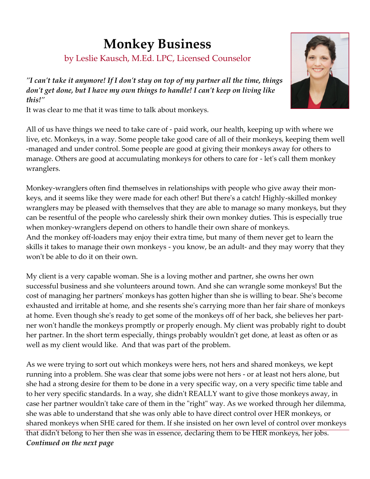## **Monkey Business**

by Leslie Kausch, M.Ed. LPC, Licensed Counselor

*"I can't take it anymore! If I don't stay on top of my partner all the time, things don't get done, but I have my own things to handle! I can't keep on living like this!"*

It was clear to me that it was time to talk about monkeys.

All of us have things we need to take care of - paid work, our health, keeping up with where we live, etc. Monkeys, in a way. Some people take good care of all of their monkeys, keeping them well -managed and under control. Some people are good at giving their monkeys away for others to manage. Others are good at accumulating monkeys for others to care for - let's call them monkey wranglers.

Monkey-wranglers often find themselves in relationships with people who give away their monkeys, and it seems like they were made for each other! But there's a catch! Highly-skilled monkey wranglers may be pleased with themselves that they are able to manage so many monkeys, but they can be resentful of the people who carelessly shirk their own monkey duties. This is especially true when monkey-wranglers depend on others to handle their own share of monkeys. And the monkey off-loaders may enjoy their extra time, but many of them never get to learn the skills it takes to manage their own monkeys - you know, be an adult- and they may worry that they won't be able to do it on their own.

My client is a very capable woman. She is a loving mother and partner, she owns her own successful business and she volunteers around town. And she can wrangle some monkeys! But the cost of managing her partners' monkeys has gotten higher than she is willing to bear. She's become exhausted and irritable at home, and she resents she's carrying more than her fair share of monkeys at home. Even though she's ready to get some of the monkeys off of her back, she believes her partner won't handle the monkeys promptly or properly enough. My client was probably right to doubt her partner. In the short term especially, things probably wouldn't get done, at least as often or as well as my client would like. And that was part of the problem.

As we were trying to sort out which monkeys were hers, not hers and shared monkeys, we kept running into a problem. She was clear that some jobs were not hers - or at least not hers alone, but she had a strong desire for them to be done in a very specific way, on a very specific time table and to her very specific standards. In a way, she didn't REALLY want to give those monkeys away, in case her partner wouldn't take care of them in the "right" way. As we worked through her dilemma, she was able to understand that she was only able to have direct control over HER monkeys, or shared monkeys when SHE cared for them. If she insisted on her own level of control over monkeys that didn't belong to her then she was in essence, declaring them to be HER monkeys, her jobs.

*Continued on the next page*